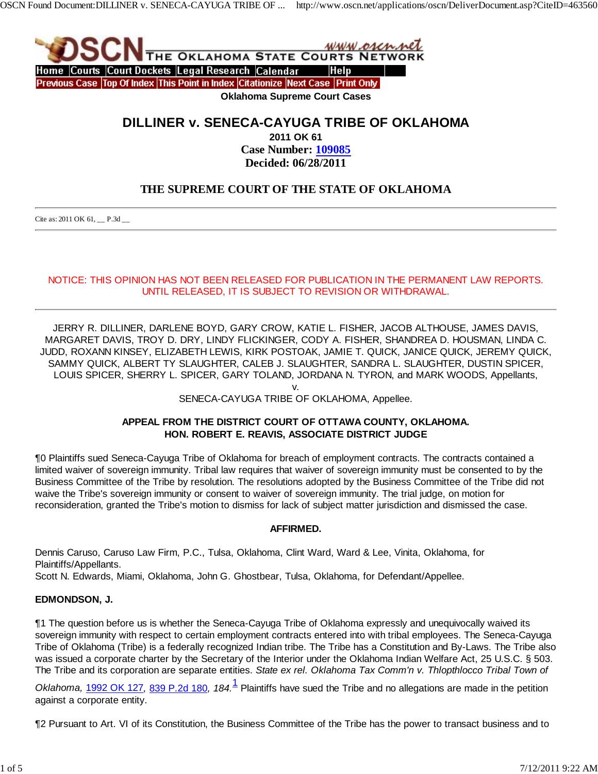

# **DILLINER v. SENECA-CAYUGA TRIBE OF OKLAHOMA**

**2011 OK 61 Case Number: 109085 Decided: 06/28/2011**

## **THE SUPREME COURT OF THE STATE OF OKLAHOMA**

Cite as: 2011 OK 61, \_\_ P.3d \_\_

#### NOTICE: THIS OPINION HAS NOT BEEN RELEASED FOR PUBLICATION IN THE PERMANENT LAW REPORTS. UNTIL RELEASED, IT IS SUBJECT TO REVISION OR WITHDRAWAL.

JERRY R. DILLINER, DARLENE BOYD, GARY CROW, KATIE L. FISHER, JACOB ALTHOUSE, JAMES DAVIS, MARGARET DAVIS, TROY D. DRY, LINDY FLICKINGER, CODY A. FISHER, SHANDREA D. HOUSMAN, LINDA C. JUDD, ROXANN KINSEY, ELIZABETH LEWIS, KIRK POSTOAK, JAMIE T. QUICK, JANICE QUICK, JEREMY QUICK, SAMMY QUICK, ALBERT TY SLAUGHTER, CALEB J. SLAUGHTER, SANDRA L. SLAUGHTER, DUSTIN SPICER, LOUIS SPICER, SHERRY L. SPICER, GARY TOLAND, JORDANA N. TYRON, and MARK WOODS, Appellants,

v.

#### SENECA-CAYUGA TRIBE OF OKLAHOMA, Appellee.

#### **APPEAL FROM THE DISTRICT COURT OF OTTAWA COUNTY, OKLAHOMA. HON. ROBERT E. REAVIS, ASSOCIATE DISTRICT JUDGE**

¶0 Plaintiffs sued Seneca-Cayuga Tribe of Oklahoma for breach of employment contracts. The contracts contained a limited waiver of sovereign immunity. Tribal law requires that waiver of sovereign immunity must be consented to by the Business Committee of the Tribe by resolution. The resolutions adopted by the Business Committee of the Tribe did not waive the Tribe's sovereign immunity or consent to waiver of sovereign immunity. The trial judge, on motion for reconsideration, granted the Tribe's motion to dismiss for lack of subject matter jurisdiction and dismissed the case.

#### **AFFIRMED.**

Dennis Caruso, Caruso Law Firm, P.C., Tulsa, Oklahoma, Clint Ward, Ward & Lee, Vinita, Oklahoma, for Plaintiffs/Appellants. Scott N. Edwards, Miami, Oklahoma, John G. Ghostbear, Tulsa, Oklahoma, for Defendant/Appellee.

#### **EDMONDSON, J.**

¶1 The question before us is whether the Seneca-Cayuga Tribe of Oklahoma expressly and unequivocally waived its sovereign immunity with respect to certain employment contracts entered into with tribal employees. The Seneca-Cayuga Tribe of Oklahoma (Tribe) is a federally recognized Indian tribe. The Tribe has a Constitution and By-Laws. The Tribe also was issued a corporate charter by the Secretary of the Interior under the Oklahoma Indian Welfare Act, 25 U.S.C. § 503. The Tribe and its corporation are separate entities. *State ex rel. Oklahoma Tax Comm'n v. Thlopthlocco Tribal Town of*

*Oklahoma,* 1992 OK 127*,* 839 P.2d 180*, 184.*<sup>1</sup> Plaintiffs have sued the Tribe and no allegations are made in the petition against a corporate entity.

¶2 Pursuant to Art. VI of its Constitution, the Business Committee of the Tribe has the power to transact business and to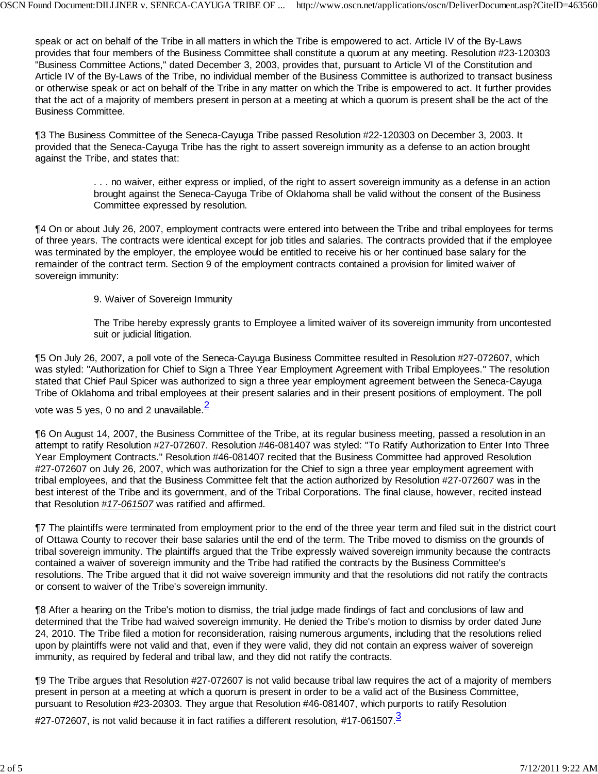speak or act on behalf of the Tribe in all matters in which the Tribe is empowered to act. Article IV of the By-Laws provides that four members of the Business Committee shall constitute a quorum at any meeting. Resolution #23-120303 "Business Committee Actions," dated December 3, 2003, provides that, pursuant to Article VI of the Constitution and Article IV of the By-Laws of the Tribe, no individual member of the Business Committee is authorized to transact business or otherwise speak or act on behalf of the Tribe in any matter on which the Tribe is empowered to act. It further provides that the act of a majority of members present in person at a meeting at which a quorum is present shall be the act of the Business Committee.

¶3 The Business Committee of the Seneca-Cayuga Tribe passed Resolution #22-120303 on December 3, 2003. It provided that the Seneca-Cayuga Tribe has the right to assert sovereign immunity as a defense to an action brought against the Tribe, and states that:

> . . . no waiver, either express or implied, of the right to assert sovereign immunity as a defense in an action brought against the Seneca-Cayuga Tribe of Oklahoma shall be valid without the consent of the Business Committee expressed by resolution.

¶4 On or about July 26, 2007, employment contracts were entered into between the Tribe and tribal employees for terms of three years. The contracts were identical except for job titles and salaries. The contracts provided that if the employee was terminated by the employer, the employee would be entitled to receive his or her continued base salary for the remainder of the contract term. Section 9 of the employment contracts contained a provision for limited waiver of sovereign immunity:

9. Waiver of Sovereign Immunity

The Tribe hereby expressly grants to Employee a limited waiver of its sovereign immunity from uncontested suit or judicial litigation.

¶5 On July 26, 2007, a poll vote of the Seneca-Cayuga Business Committee resulted in Resolution #27-072607, which was styled: "Authorization for Chief to Sign a Three Year Employment Agreement with Tribal Employees." The resolution stated that Chief Paul Spicer was authorized to sign a three year employment agreement between the Seneca-Cayuga Tribe of Oklahoma and tribal employees at their present salaries and in their present positions of employment. The poll

vote was 5 yes, 0 no and 2 unavailable. $<sup>2</sup>$ </sup>

¶6 On August 14, 2007, the Business Committee of the Tribe, at its regular business meeting, passed a resolution in an attempt to ratify Resolution #27-072607. Resolution #46-081407 was styled: "To Ratify Authorization to Enter Into Three Year Employment Contracts." Resolution #46-081407 recited that the Business Committee had approved Resolution #27-072607 on July 26, 2007, which was authorization for the Chief to sign a three year employment agreement with tribal employees, and that the Business Committee felt that the action authorized by Resolution #27-072607 was in the best interest of the Tribe and its government, and of the Tribal Corporations. The final clause, however, recited instead that Resolution *#17-061507* was ratified and affirmed.

¶7 The plaintiffs were terminated from employment prior to the end of the three year term and filed suit in the district court of Ottawa County to recover their base salaries until the end of the term. The Tribe moved to dismiss on the grounds of tribal sovereign immunity. The plaintiffs argued that the Tribe expressly waived sovereign immunity because the contracts contained a waiver of sovereign immunity and the Tribe had ratified the contracts by the Business Committee's resolutions. The Tribe argued that it did not waive sovereign immunity and that the resolutions did not ratify the contracts or consent to waiver of the Tribe's sovereign immunity.

¶8 After a hearing on the Tribe's motion to dismiss, the trial judge made findings of fact and conclusions of law and determined that the Tribe had waived sovereign immunity. He denied the Tribe's motion to dismiss by order dated June 24, 2010. The Tribe filed a motion for reconsideration, raising numerous arguments, including that the resolutions relied upon by plaintiffs were not valid and that, even if they were valid, they did not contain an express waiver of sovereign immunity, as required by federal and tribal law, and they did not ratify the contracts.

¶9 The Tribe argues that Resolution #27-072607 is not valid because tribal law requires the act of a majority of members present in person at a meeting at which a quorum is present in order to be a valid act of the Business Committee, pursuant to Resolution #23-20303. They argue that Resolution #46-081407, which purports to ratify Resolution

#27-072607, is not valid because it in fact ratifies a different resolution, #17-061507.<sup>3</sup>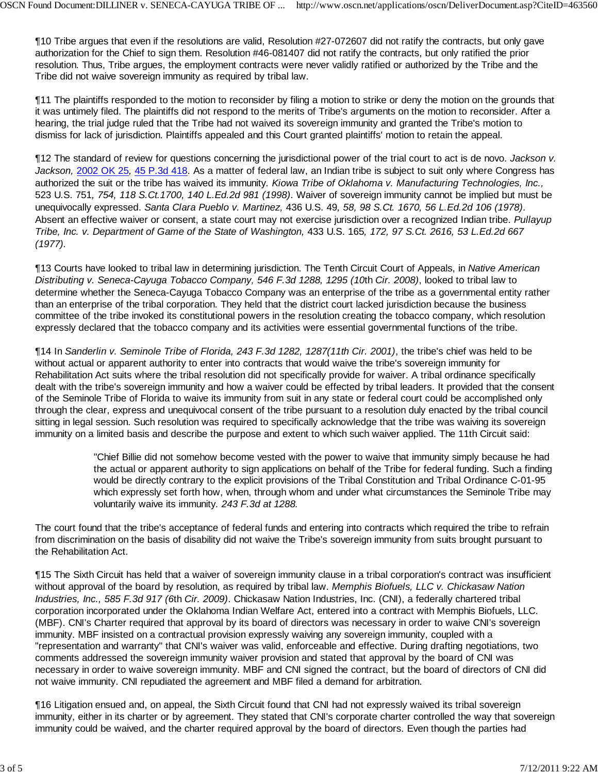¶10 Tribe argues that even if the resolutions are valid, Resolution #27-072607 did not ratify the contracts, but only gave authorization for the Chief to sign them. Resolution #46-081407 did not ratify the contracts, but only ratified the prior resolution. Thus, Tribe argues, the employment contracts were never validly ratified or authorized by the Tribe and the Tribe did not waive sovereign immunity as required by tribal law.

¶11 The plaintiffs responded to the motion to reconsider by filing a motion to strike or deny the motion on the grounds that it was untimely filed. The plaintiffs did not respond to the merits of Tribe's arguments on the motion to reconsider. After a hearing, the trial judge ruled that the Tribe had not waived its sovereign immunity and granted the Tribe's motion to dismiss for lack of jurisdiction. Plaintiffs appealed and this Court granted plaintiffs' motion to retain the appeal.

¶12 The standard of review for questions concerning the jurisdictional power of the trial court to act is de novo. *Jackson v. Jackson,* 2002 OK 25*,* 45 P.3d 418. As a matter of federal law, an Indian tribe is subject to suit only where Congress has authorized the suit or the tribe has waived its immunity*. Kiowa Tribe of Oklahoma v. Manufacturing Technologies, Inc.,* 523 U.S. 751*, 754, 118 S.Ct.1700, 140 L.Ed.2d 981 (1998)*. Waiver of sovereign immunity cannot be implied but must be unequivocally expressed. *Santa Clara Pueblo v. Martinez,* 436 U.S. 49*, 58, 98 S.Ct. 1670, 56 L.Ed.2d 106 (1978)*. Absent an effective waiver or consent, a state court may not exercise jurisdiction over a recognized Indian tribe. *Pullayup Tribe, Inc. v. Department of Game of the State of Washington,* 433 U.S. 165*, 172, 97 S.Ct. 2616, 53 L.Ed.2d 667 (1977).*

¶13 Courts have looked to tribal law in determining jurisdiction. The Tenth Circuit Court of Appeals, in *Native American Distributing v. Seneca-Cayuga Tobacco Company, 546 F.3d 1288, 1295 (10*th *Cir. 2008)*, looked to tribal law to determine whether the Seneca-Cayuga Tobacco Company was an enterprise of the tribe as a governmental entity rather than an enterprise of the tribal corporation. They held that the district court lacked jurisdiction because the business committee of the tribe invoked its constitutional powers in the resolution creating the tobacco company, which resolution expressly declared that the tobacco company and its activities were essential governmental functions of the tribe.

¶14 In *Sanderlin v. Seminole Tribe of Florida, 243 F.3d 1282, 1287(11th Cir. 2001)*, the tribe's chief was held to be without actual or apparent authority to enter into contracts that would waive the tribe's sovereign immunity for Rehabilitation Act suits where the tribal resolution did not specifically provide for waiver. A tribal ordinance specifically dealt with the tribe's sovereign immunity and how a waiver could be effected by tribal leaders. It provided that the consent of the Seminole Tribe of Florida to waive its immunity from suit in any state or federal court could be accomplished only through the clear, express and unequivocal consent of the tribe pursuant to a resolution duly enacted by the tribal council sitting in legal session. Such resolution was required to specifically acknowledge that the tribe was waiving its sovereign immunity on a limited basis and describe the purpose and extent to which such waiver applied. The 11th Circuit said:

> "Chief Billie did not somehow become vested with the power to waive that immunity simply because he had the actual or apparent authority to sign applications on behalf of the Tribe for federal funding. Such a finding would be directly contrary to the explicit provisions of the Tribal Constitution and Tribal Ordinance C-01-95 which expressly set forth how, when, through whom and under what circumstances the Seminole Tribe may voluntarily waive its immunity*. 243 F.3d at 1288.*

The court found that the tribe's acceptance of federal funds and entering into contracts which required the tribe to refrain from discrimination on the basis of disability did not waive the Tribe's sovereign immunity from suits brought pursuant to the Rehabilitation Act.

¶15 The Sixth Circuit has held that a waiver of sovereign immunity clause in a tribal corporation's contract was insufficient without approval of the board by resolution, as required by tribal law. *Memphis Biofuels, LLC v. Chickasaw Nation Industries, Inc., 585 F.3d 917 (6*th *Cir. 2009)*. Chickasaw Nation Industries, Inc. (CNI), a federally chartered tribal corporation incorporated under the Oklahoma Indian Welfare Act, entered into a contract with Memphis Biofuels, LLC. (MBF). CNI's Charter required that approval by its board of directors was necessary in order to waive CNI's sovereign immunity. MBF insisted on a contractual provision expressly waiving any sovereign immunity, coupled with a "representation and warranty" that CNI's waiver was valid, enforceable and effective. During drafting negotiations, two comments addressed the sovereign immunity waiver provision and stated that approval by the board of CNI was necessary in order to waive sovereign immunity. MBF and CNI signed the contract, but the board of directors of CNI did not waive immunity. CNI repudiated the agreement and MBF filed a demand for arbitration.

¶16 Litigation ensued and, on appeal, the Sixth Circuit found that CNI had not expressly waived its tribal sovereign immunity, either in its charter or by agreement. They stated that CNI's corporate charter controlled the way that sovereign immunity could be waived, and the charter required approval by the board of directors. Even though the parties had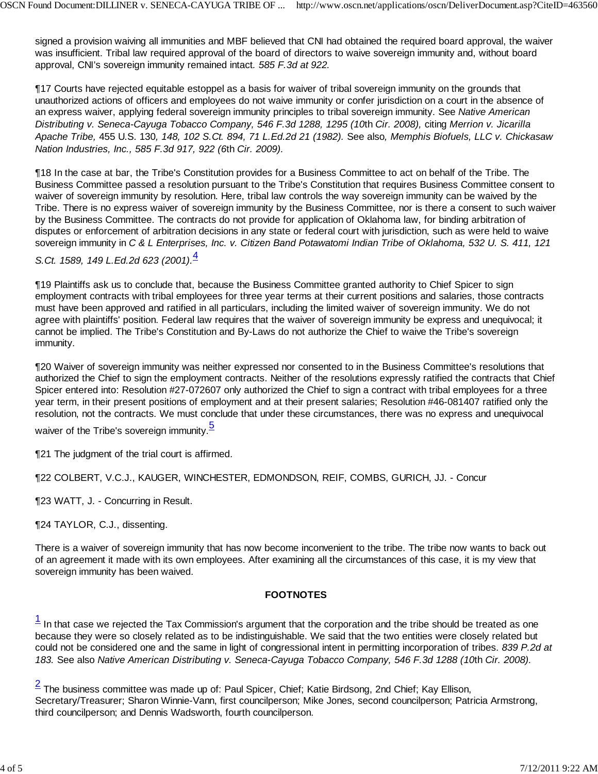signed a provision waiving all immunities and MBF believed that CNI had obtained the required board approval, the waiver was insufficient. Tribal law required approval of the board of directors to waive sovereign immunity and, without board approval, CNI's sovereign immunity remained intact*. 585 F.3d at 922.*

¶17 Courts have rejected equitable estoppel as a basis for waiver of tribal sovereign immunity on the grounds that unauthorized actions of officers and employees do not waive immunity or confer jurisdiction on a court in the absence of an express waiver, applying federal sovereign immunity principles to tribal sovereign immunity. See *Native American Distributing v. Seneca-Cayuga Tobacco Company, 546 F.3d 1288, 1295 (10*th *Cir. 2008),* citing *Merrion v. Jicarilla Apache Tribe,* 455 U.S. 130*, 148, 102 S.Ct. 894, 71 L.Ed.2d 21 (1982).* See also*, Memphis Biofuels, LLC v. Chickasaw Nation Industries, Inc., 585 F.3d 917, 922 (6*th *Cir. 2009).*

¶18 In the case at bar, the Tribe's Constitution provides for a Business Committee to act on behalf of the Tribe. The Business Committee passed a resolution pursuant to the Tribe's Constitution that requires Business Committee consent to waiver of sovereign immunity by resolution. Here, tribal law controls the way sovereign immunity can be waived by the Tribe. There is no express waiver of sovereign immunity by the Business Committee, nor is there a consent to such waiver by the Business Committee. The contracts do not provide for application of Oklahoma law, for binding arbitration of disputes or enforcement of arbitration decisions in any state or federal court with jurisdiction, such as were held to waive sovereign immunity in *C & L Enterprises, Inc. v. Citizen Band Potawatomi Indian Tribe of Oklahoma, 532 U. S. 411, 121*

## *S.Ct. 1589, 149 L.Ed.2d 623 (2001).*<sup>4</sup>

¶19 Plaintiffs ask us to conclude that, because the Business Committee granted authority to Chief Spicer to sign employment contracts with tribal employees for three year terms at their current positions and salaries, those contracts must have been approved and ratified in all particulars, including the limited waiver of sovereign immunity. We do not agree with plaintiffs' position. Federal law requires that the waiver of sovereign immunity be express and unequivocal; it cannot be implied. The Tribe's Constitution and By-Laws do not authorize the Chief to waive the Tribe's sovereign immunity.

¶20 Waiver of sovereign immunity was neither expressed nor consented to in the Business Committee's resolutions that authorized the Chief to sign the employment contracts. Neither of the resolutions expressly ratified the contracts that Chief Spicer entered into: Resolution #27-072607 only authorized the Chief to sign a contract with tribal employees for a three year term, in their present positions of employment and at their present salaries; Resolution #46-081407 ratified only the resolution, not the contracts. We must conclude that under these circumstances, there was no express and unequivocal

waiver of the Tribe's sovereign immunity.<sup>5</sup>

¶21 The judgment of the trial court is affirmed.

¶22 COLBERT, V.C.J., KAUGER, WINCHESTER, EDMONDSON, REIF, COMBS, GURICH, JJ. - Concur

¶23 WATT, J. - Concurring in Result.

¶24 TAYLOR, C.J., dissenting.

There is a waiver of sovereign immunity that has now become inconvenient to the tribe. The tribe now wants to back out of an agreement it made with its own employees. After examining all the circumstances of this case, it is my view that sovereign immunity has been waived.

### **FOOTNOTES**

 $<sup>1</sup>$  In that case we rejected the Tax Commission's argument that the corporation and the tribe should be treated as one</sup> because they were so closely related as to be indistinguishable. We said that the two entities were closely related but could not be considered one and the same in light of congressional intent in permitting incorporation of tribes. *839 P.2d at 183.* See also *Native American Distributing v. Seneca-Cayuga Tobacco Company, 546 F.3d 1288 (10*th *Cir. 2008).*

 $2$  The business committee was made up of: Paul Spicer, Chief; Katie Birdsong, 2nd Chief; Kay Ellison, Secretary/Treasurer; Sharon Winnie-Vann, first councilperson; Mike Jones, second councilperson; Patricia Armstrong, third councilperson; and Dennis Wadsworth, fourth councilperson.